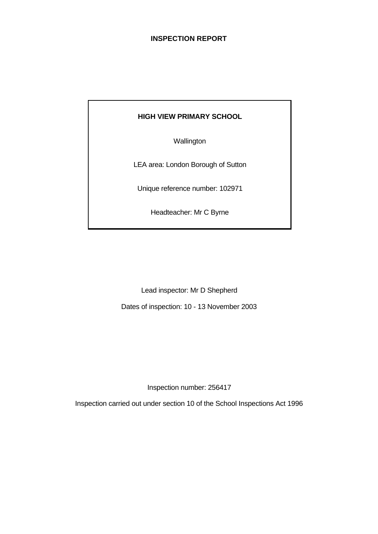# **INSPECTION REPORT**

## **HIGH VIEW PRIMARY SCHOOL**

**Wallington** 

LEA area: London Borough of Sutton

Unique reference number: 102971

Headteacher: Mr C Byrne

Lead inspector: Mr D Shepherd

Dates of inspection: 10 - 13 November 2003

Inspection number: 256417

Inspection carried out under section 10 of the School Inspections Act 1996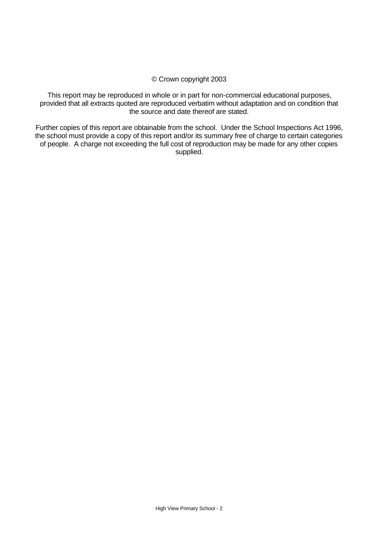### © Crown copyright 2003

This report may be reproduced in whole or in part for non-commercial educational purposes, provided that all extracts quoted are reproduced verbatim without adaptation and on condition that the source and date thereof are stated.

Further copies of this report are obtainable from the school. Under the School Inspections Act 1996, the school must provide a copy of this report and/or its summary free of charge to certain categories of people. A charge not exceeding the full cost of reproduction may be made for any other copies supplied.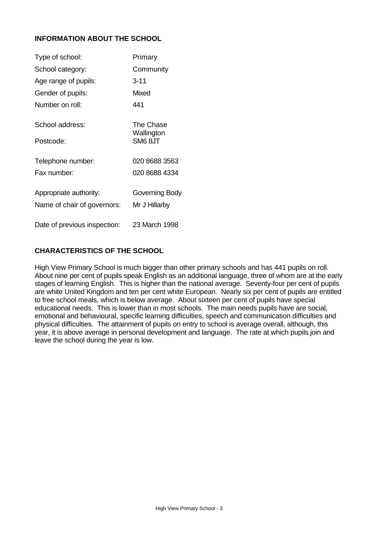# **INFORMATION ABOUT THE SCHOOL**

| Type of school:              | Primary                 |
|------------------------------|-------------------------|
| School category:             | Community               |
| Age range of pupils:         | $3 - 11$                |
| Gender of pupils:            | Mixed                   |
| Number on roll:              | 441                     |
| School address:              | The Chase<br>Wallington |
| Postcode:                    | SM68JT                  |
| Telephone number:            | 020 8688 3563           |
| Fax number:                  | 020 8688 4334           |
| Appropriate authority:       | Governing Body          |
| Name of chair of governors:  | Mr J Hillarby           |
| Date of previous inspection: | 23 March 1998           |

# **CHARACTERISTICS OF THE SCHOOL**

High View Primary School is much bigger than other primary schools and has 441 pupils on roll. About nine per cent of pupils speak English as an additional language, three of whom are at the early stages of learning English. This is higher than the national average. Seventy-four per cent of pupils are white United Kingdom and ten per cent white European. Nearly six per cent of pupils are entitled to free school meals, which is below average. About sixteen per cent of pupils have special educational needs. This is lower than in most schools. The main needs pupils have are social, emotional and behavioural, specific learning difficulties, speech and communication difficulties and physical difficulties. The attainment of pupils on entry to school is average overall, although, this year, it is above average in personal development and language. The rate at which pupils join and leave the school during the year is low.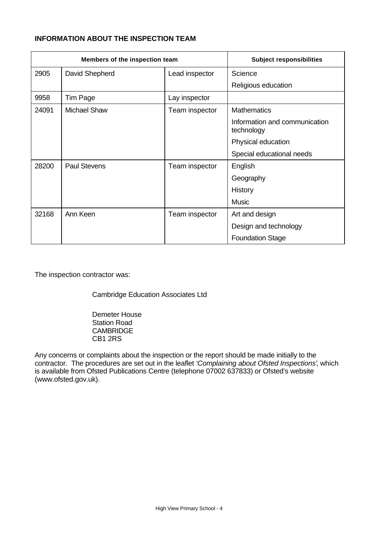# **INFORMATION ABOUT THE INSPECTION TEAM**

| Members of the inspection team |                     |                | <b>Subject responsibilities</b>             |
|--------------------------------|---------------------|----------------|---------------------------------------------|
| 2905                           | David Shepherd      | Lead inspector | Science                                     |
|                                |                     |                | Religious education                         |
| 9958                           | Tim Page            | Lay inspector  |                                             |
| 24091                          | <b>Michael Shaw</b> | Team inspector | <b>Mathematics</b>                          |
|                                |                     |                | Information and communication<br>technology |
|                                |                     |                | Physical education                          |
|                                |                     |                | Special educational needs                   |
| 28200                          | <b>Paul Stevens</b> | Team inspector | English                                     |
|                                |                     |                | Geography                                   |
|                                |                     |                | History                                     |
|                                |                     |                | <b>Music</b>                                |
| 32168                          | Ann Keen            | Team inspector | Art and design                              |
|                                |                     |                | Design and technology                       |
|                                |                     |                | <b>Foundation Stage</b>                     |

The inspection contractor was:

Cambridge Education Associates Ltd

Demeter House Station Road **CAMBRIDGE** CB1 2RS

Any concerns or complaints about the inspection or the report should be made initially to the contractor. The procedures are set out in the leaflet *'Complaining about Ofsted Inspections'*, which is available from Ofsted Publications Centre (telephone 07002 637833) or Ofsted's website (www.ofsted.gov.uk).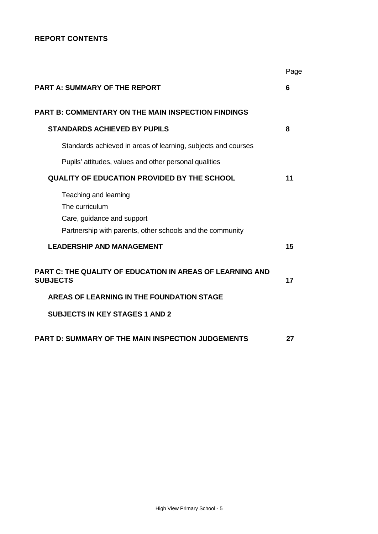# **REPORT CONTENTS**

|                                                                                                                                    | Page |
|------------------------------------------------------------------------------------------------------------------------------------|------|
| <b>PART A: SUMMARY OF THE REPORT</b>                                                                                               | 6    |
| <b>PART B: COMMENTARY ON THE MAIN INSPECTION FINDINGS</b>                                                                          |      |
| <b>STANDARDS ACHIEVED BY PUPILS</b>                                                                                                | 8    |
| Standards achieved in areas of learning, subjects and courses                                                                      |      |
| Pupils' attitudes, values and other personal qualities                                                                             |      |
| <b>QUALITY OF EDUCATION PROVIDED BY THE SCHOOL</b>                                                                                 | 11   |
| Teaching and learning<br>The curriculum<br>Care, guidance and support<br>Partnership with parents, other schools and the community |      |
| <b>LEADERSHIP AND MANAGEMENT</b>                                                                                                   | 15   |
| <b>PART C: THE QUALITY OF EDUCATION IN AREAS OF LEARNING AND</b><br><b>SUBJECTS</b>                                                | 17   |
| AREAS OF LEARNING IN THE FOUNDATION STAGE                                                                                          |      |
| <b>SUBJECTS IN KEY STAGES 1 AND 2</b>                                                                                              |      |
| <b>PART D: SUMMARY OF THE MAIN INSPECTION JUDGEMENTS</b>                                                                           | 27   |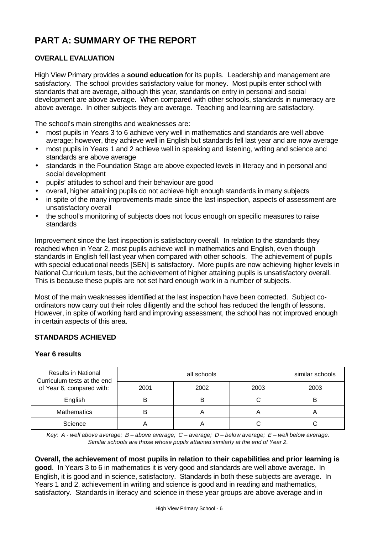# **PART A: SUMMARY OF THE REPORT**

# **OVERALL EVALUATION**

High View Primary provides a **sound education** for its pupils. Leadership and management are satisfactory. The school provides satisfactory value for money. Most pupils enter school with standards that are average, although this year, standards on entry in personal and social development are above average. When compared with other schools, standards in numeracy are above average. In other subjects they are average. Teaching and learning are satisfactory.

The school's main strengths and weaknesses are:

- most pupils in Years 3 to 6 achieve very well in mathematics and standards are well above average; however, they achieve well in English but standards fell last year and are now average
- most pupils in Years 1 and 2 achieve well in speaking and listening, writing and science and standards are above average
- standards in the Foundation Stage are above expected levels in literacy and in personal and social development
- pupils' attitudes to school and their behaviour are good
- overall, higher attaining pupils do not achieve high enough standards in many subjects
- in spite of the many improvements made since the last inspection, aspects of assessment are unsatisfactory overall
- the school's monitoring of subjects does not focus enough on specific measures to raise standards

Improvement since the last inspection is satisfactory overall. In relation to the standards they reached when in Year 2, most pupils achieve well in mathematics and English, even though standards in English fell last year when compared with other schools. The achievement of pupils with special educational needs [SEN] is satisfactory. More pupils are now achieving higher levels in National Curriculum tests, but the achievement of higher attaining pupils is unsatisfactory overall. This is because these pupils are not set hard enough work in a number of subjects.

Most of the main weaknesses identified at the last inspection have been corrected. Subject coordinators now carry out their roles diligently and the school has reduced the length of lessons. However, in spite of working hard and improving assessment, the school has not improved enough in certain aspects of this area.

# **STANDARDS ACHIEVED**

### **Year 6 results**

| <b>Results in National</b><br>Curriculum tests at the end |      | similar schools |      |      |
|-----------------------------------------------------------|------|-----------------|------|------|
| of Year 6, compared with:                                 | 2001 | 2002            | 2003 | 2003 |
| English                                                   |      | B               |      |      |
| <b>Mathematics</b>                                        |      |                 | А    | 宀    |
| Science                                                   |      |                 |      |      |

*Key: A - well above average; B – above average; C – average; D – below average; E – well below average. Similar schools are those whose pupils attained similarly at the end of Year 2.*

**Overall, the achievement of most pupils in relation to their capabilities and prior learning is good**. In Years 3 to 6 in mathematics it is very good and standards are well above average. In English, it is good and in science, satisfactory. Standards in both these subjects are average. In Years 1 and 2, achievement in writing and science is good and in reading and mathematics, satisfactory. Standards in literacy and science in these year groups are above average and in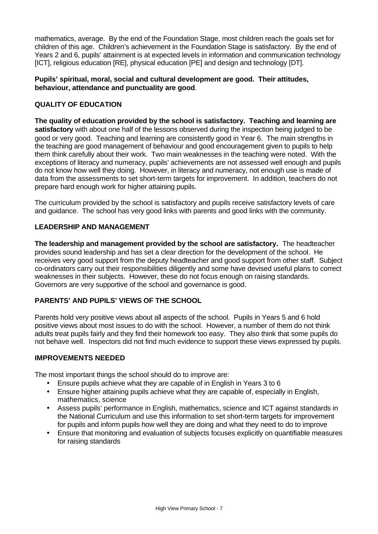mathematics, average. By the end of the Foundation Stage, most children reach the goals set for children of this age. Children's achievement in the Foundation Stage is satisfactory. By the end of Years 2 and 6, pupils' attainment is at expected levels in information and communication technology [ICT], religious education [RE], physical education [PE] and design and technology [DT].

## **Pupils' spiritual, moral, social and cultural development are good. Their attitudes, behaviour, attendance and punctuality are good**.

## **QUALITY OF EDUCATION**

**The quality of education provided by the school is satisfactory. Teaching and learning are satisfactory** with about one half of the lessons observed during the inspection being judged to be good or very good. Teaching and learning are consistently good in Year 6. The main strengths in the teaching are good management of behaviour and good encouragement given to pupils to help them think carefully about their work. Two main weaknesses in the teaching were noted. With the exceptions of literacy and numeracy, pupils' achievements are not assessed well enough and pupils do not know how well they doing. However, in literacy and numeracy, not enough use is made of data from the assessments to set short-term targets for improvement. In addition, teachers do not prepare hard enough work for higher attaining pupils.

The curriculum provided by the school is satisfactory and pupils receive satisfactory levels of care and guidance. The school has very good links with parents and good links with the community.

## **LEADERSHIP AND MANAGEMENT**

**The leadership and management provided by the school are satisfactory.** The headteacher provides sound leadership and has set a clear direction for the development of the school. He receives very good support from the deputy headteacher and good support from other staff. Subject co-ordinators carry out their responsibilities diligently and some have devised useful plans to correct weaknesses in their subjects. However, these do not focus enough on raising standards. Governors are very supportive of the school and governance is good.

### **PARENTS' AND PUPILS' VIEWS OF THE SCHOOL**

Parents hold very positive views about all aspects of the school. Pupils in Years 5 and 6 hold positive views about most issues to do with the school. However, a number of them do not think adults treat pupils fairly and they find their homework too easy. They also think that some pupils do not behave well. Inspectors did not find much evidence to support these views expressed by pupils.

#### **IMPROVEMENTS NEEDED**

The most important things the school should do to improve are:

- Ensure pupils achieve what they are capable of in English in Years 3 to 6
- Ensure higher attaining pupils achieve what they are capable of, especially in English, mathematics, science
- Assess pupils' performance in English, mathematics, science and ICT against standards in the National Curriculum and use this information to set short-term targets for improvement for pupils and inform pupils how well they are doing and what they need to do to improve
- Ensure that monitoring and evaluation of subjects focuses explicitly on quantifiable measures for raising standards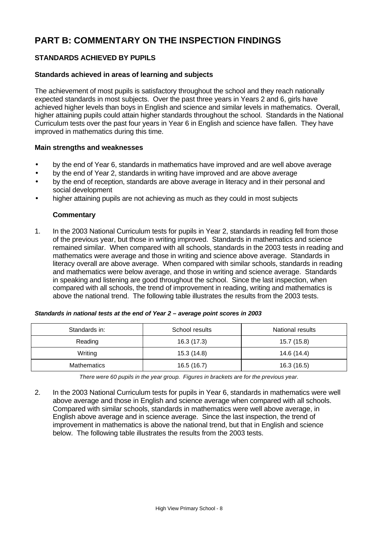# **PART B: COMMENTARY ON THE INSPECTION FINDINGS**

# **STANDARDS ACHIEVED BY PUPILS**

## **Standards achieved in areas of learning and subjects**

The achievement of most pupils is satisfactory throughout the school and they reach nationally expected standards in most subjects. Over the past three years in Years 2 and 6, girls have achieved higher levels than boys in English and science and similar levels in mathematics. Overall, higher attaining pupils could attain higher standards throughout the school. Standards in the National Curriculum tests over the past four years in Year 6 in English and science have fallen. They have improved in mathematics during this time.

#### **Main strengths and weaknesses**

- by the end of Year 6, standards in mathematics have improved and are well above average
- by the end of Year 2, standards in writing have improved and are above average
- by the end of reception, standards are above average in literacy and in their personal and social development
- higher attaining pupils are not achieving as much as they could in most subjects

### **Commentary**

1. In the 2003 National Curriculum tests for pupils in Year 2, standards in reading fell from those of the previous year, but those in writing improved. Standards in mathematics and science remained similar. When compared with all schools, standards in the 2003 tests in reading and mathematics were average and those in writing and science above average. Standards in literacy overall are above average. When compared with similar schools, standards in reading and mathematics were below average, and those in writing and science average. Standards in speaking and listening are good throughout the school. Since the last inspection, when compared with all schools, the trend of improvement in reading, writing and mathematics is above the national trend. The following table illustrates the results from the 2003 tests.

| Standards in: | School results | National results |
|---------------|----------------|------------------|
| Reading       | 16.3(17.3)     | 15.7 (15.8)      |
| Writing       | 15.3 (14.8)    | 14.6 (14.4)      |
| Mathematics   | 16.5(16.7)     | 16.3 (16.5)      |

*There were 60 pupils in the year group. Figures in brackets are for the previous year.*

2. In the 2003 National Curriculum tests for pupils in Year 6, standards in mathematics were well above average and those in English and science average when compared with all schools. Compared with similar schools, standards in mathematics were well above average, in English above average and in science average. Since the last inspection, the trend of improvement in mathematics is above the national trend, but that in English and science below. The following table illustrates the results from the 2003 tests.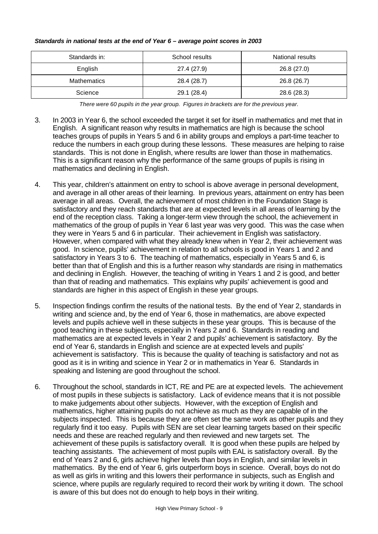#### *Standards in national tests at the end of Year 6 – average point scores in 2003*

| Standards in:      | School results | National results |  |
|--------------------|----------------|------------------|--|
| English            | 27.4 (27.9)    | 26.8 (27.0)      |  |
| <b>Mathematics</b> | 28.4 (28.7)    | 26.8 (26.7)      |  |
| Science            | 29.1 (28.4)    | 28.6 (28.3)      |  |

*There were 60 pupils in the year group. Figures in brackets are for the previous year.*

- 3. In 2003 in Year 6, the school exceeded the target it set for itself in mathematics and met that in English. A significant reason why results in mathematics are high is because the school teaches groups of pupils in Years 5 and 6 in ability groups and employs a part-time teacher to reduce the numbers in each group during these lessons. These measures are helping to raise standards. This is not done in English, where results are lower than those in mathematics. This is a significant reason why the performance of the same groups of pupils is rising in mathematics and declining in English.
- 4. This year, children's attainment on entry to school is above average in personal development, and average in all other areas of their learning. In previous years, attainment on entry has been average in all areas. Overall, the achievement of most children in the Foundation Stage is satisfactory and they reach standards that are at expected levels in all areas of learning by the end of the reception class. Taking a longer-term view through the school, the achievement in mathematics of the group of pupils in Year 6 last year was very good. This was the case when they were in Years 5 and 6 in particular. Their achievement in English was satisfactory. However, when compared with what they already knew when in Year 2, their achievement was good. In science, pupils' achievement in relation to all schools is good in Years 1 and 2 and satisfactory in Years 3 to 6. The teaching of mathematics, especially in Years 5 and 6, is better than that of English and this is a further reason why standards are rising in mathematics and declining in English. However, the teaching of writing in Years 1 and 2 is good, and better than that of reading and mathematics. This explains why pupils' achievement is good and standards are higher in this aspect of English in these year groups.
- 5. Inspection findings confirm the results of the national tests. By the end of Year 2, standards in writing and science and, by the end of Year 6, those in mathematics, are above expected levels and pupils achieve well in these subjects in these year groups. This is because of the good teaching in these subjects, especially in Years 2 and 6. Standards in reading and mathematics are at expected levels in Year 2 and pupils' achievement is satisfactory. By the end of Year 6, standards in English and science are at expected levels and pupils' achievement is satisfactory. This is because the quality of teaching is satisfactory and not as good as it is in writing and science in Year 2 or in mathematics in Year 6. Standards in speaking and listening are good throughout the school.
- 6. Throughout the school, standards in ICT, RE and PE are at expected levels. The achievement of most pupils in these subjects is satisfactory. Lack of evidence means that it is not possible to make judgements about other subjects. However, with the exception of English and mathematics, higher attaining pupils do not achieve as much as they are capable of in the subjects inspected. This is because they are often set the same work as other pupils and they regularly find it too easy. Pupils with SEN are set clear learning targets based on their specific needs and these are reached regularly and then reviewed and new targets set. The achievement of these pupils is satisfactory overall. It is good when these pupils are helped by teaching assistants. The achievement of most pupils with EAL is satisfactory overall. By the end of Years 2 and 6, girls achieve higher levels than boys in English, and similar levels in mathematics. By the end of Year 6, girls outperform boys in science. Overall, boys do not do as well as girls in writing and this lowers their performance in subjects, such as English and science, where pupils are regularly required to record their work by writing it down. The school is aware of this but does not do enough to help boys in their writing.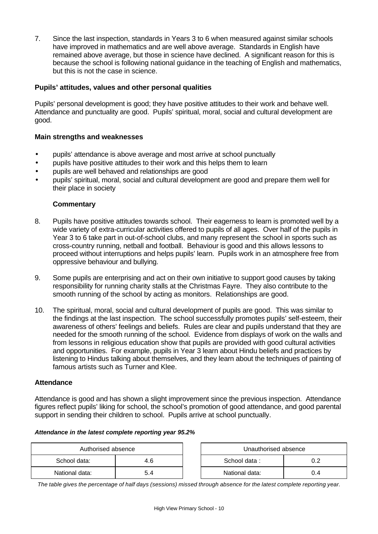7. Since the last inspection, standards in Years 3 to 6 when measured against similar schools have improved in mathematics and are well above average. Standards in English have remained above average, but those in science have declined. A significant reason for this is because the school is following national guidance in the teaching of English and mathematics, but this is not the case in science.

## **Pupils' attitudes, values and other personal qualities**

Pupils' personal development is good; they have positive attitudes to their work and behave well. Attendance and punctuality are good. Pupils' spiritual, moral, social and cultural development are good.

### **Main strengths and weaknesses**

- pupils' attendance is above average and most arrive at school punctually
- pupils have positive attitudes to their work and this helps them to learn
- pupils are well behaved and relationships are good
- pupils' spiritual, moral, social and cultural development are good and prepare them well for their place in society

### **Commentary**

- 8. Pupils have positive attitudes towards school. Their eagerness to learn is promoted well by a wide variety of extra-curricular activities offered to pupils of all ages. Over half of the pupils in Year 3 to 6 take part in out-of-school clubs, and many represent the school in sports such as cross-country running, netball and football. Behaviour is good and this allows lessons to proceed without interruptions and helps pupils' learn. Pupils work in an atmosphere free from oppressive behaviour and bullying.
- 9. Some pupils are enterprising and act on their own initiative to support good causes by taking responsibility for running charity stalls at the Christmas Fayre. They also contribute to the smooth running of the school by acting as monitors. Relationships are good.
- 10. The spiritual, moral, social and cultural development of pupils are good. This was similar to the findings at the last inspection. The school successfully promotes pupils' self-esteem, their awareness of others' feelings and beliefs. Rules are clear and pupils understand that they are needed for the smooth running of the school. Evidence from displays of work on the walls and from lessons in religious education show that pupils are provided with good cultural activities and opportunities. For example, pupils in Year 3 learn about Hindu beliefs and practices by listening to Hindus talking about themselves, and they learn about the techniques of painting of famous artists such as Turner and Klee.

#### **Attendance**

Attendance is good and has shown a slight improvement since the previous inspection. Attendance figures reflect pupils' liking for school, the school's promotion of good attendance, and good parental support in sending their children to school. Pupils arrive at school punctually.

#### *Attendance in the latest complete reporting year 95.2%*

| Authorised absence |     | Unauthorised absence |     |
|--------------------|-----|----------------------|-----|
| School data:       | 4.6 | School data:         |     |
| National data:     |     | National data:       | υ.4 |

*The table gives the percentage of half days (sessions) missed through absence for the latest complete reporting year.*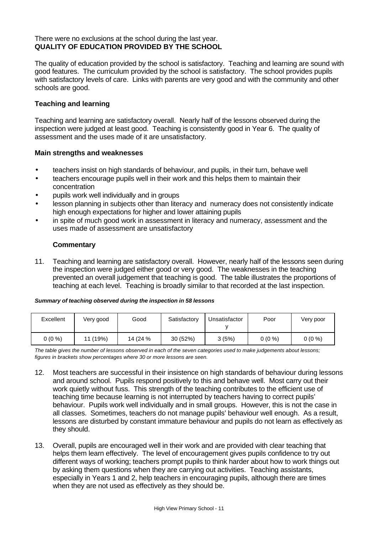## There were no exclusions at the school during the last year. **QUALITY OF EDUCATION PROVIDED BY THE SCHOOL**

The quality of education provided by the school is satisfactory. Teaching and learning are sound with good features. The curriculum provided by the school is satisfactory. The school provides pupils with satisfactory levels of care. Links with parents are very good and with the community and other schools are good.

### **Teaching and learning**

Teaching and learning are satisfactory overall. Nearly half of the lessons observed during the inspection were judged at least good. Teaching is consistently good in Year 6. The quality of assessment and the uses made of it are unsatisfactory.

### **Main strengths and weaknesses**

- teachers insist on high standards of behaviour, and pupils, in their turn, behave well
- teachers encourage pupils well in their work and this helps them to maintain their concentration
- pupils work well individually and in groups
- lesson planning in subjects other than literacy and numeracy does not consistently indicate high enough expectations for higher and lower attaining pupils
- in spite of much good work in assessment in literacy and numeracy, assessment and the uses made of assessment are unsatisfactory

### **Commentary**

11. Teaching and learning are satisfactory overall. However, nearly half of the lessons seen during the inspection were judged either good or very good. The weaknesses in the teaching prevented an overall judgement that teaching is good. The table illustrates the proportions of teaching at each level. Teaching is broadly similar to that recorded at the last inspection.

#### *Summary of teaching observed during the inspection in 58 lessons*

| Excellent | Very good | Good     | Satisfactory | Unsatisfactor | Poor     | Very poor |
|-----------|-----------|----------|--------------|---------------|----------|-----------|
| $0(0\%)$  | 11 (19%)  | 14 (24 % | 30(52%)      | 3(5%)         | $0(0\%)$ | $0(0\%)$  |

*The table gives the number of lessons observed in each of the seven categories used to make judgements about lessons; figures in brackets show percentages where 30 or more lessons are seen.*

- 12. Most teachers are successful in their insistence on high standards of behaviour during lessons and around school. Pupils respond positively to this and behave well. Most carry out their work quietly without fuss. This strength of the teaching contributes to the efficient use of teaching time because learning is not interrupted by teachers having to correct pupils' behaviour. Pupils work well individually and in small groups. However, this is not the case in all classes. Sometimes, teachers do not manage pupils' behaviour well enough. As a result, lessons are disturbed by constant immature behaviour and pupils do not learn as effectively as they should.
- 13. Overall, pupils are encouraged well in their work and are provided with clear teaching that helps them learn effectively. The level of encouragement gives pupils confidence to try out different ways of working; teachers prompt pupils to think harder about how to work things out by asking them questions when they are carrying out activities. Teaching assistants, especially in Years 1 and 2, help teachers in encouraging pupils, although there are times when they are not used as effectively as they should be.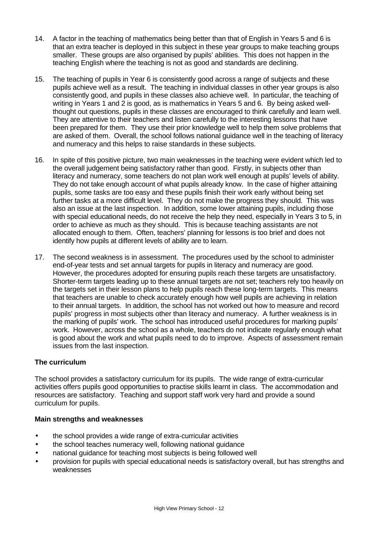- 14. A factor in the teaching of mathematics being better than that of English in Years 5 and 6 is that an extra teacher is deployed in this subject in these year groups to make teaching groups smaller. These groups are also organised by pupils' abilities. This does not happen in the teaching English where the teaching is not as good and standards are declining.
- 15. The teaching of pupils in Year 6 is consistently good across a range of subjects and these pupils achieve well as a result. The teaching in individual classes in other year groups is also consistently good, and pupils in these classes also achieve well. In particular, the teaching of writing in Years 1 and 2 is good, as is mathematics in Years 5 and 6. By being asked wellthought out questions, pupils in these classes are encouraged to think carefully and learn well. They are attentive to their teachers and listen carefully to the interesting lessons that have been prepared for them. They use their prior knowledge well to help them solve problems that are asked of them. Overall, the school follows national guidance well in the teaching of literacy and numeracy and this helps to raise standards in these subjects.
- 16. In spite of this positive picture, two main weaknesses in the teaching were evident which led to the overall judgement being satisfactory rather than good. Firstly, in subjects other than literacy and numeracy, some teachers do not plan work well enough at pupils' levels of ability. They do not take enough account of what pupils already know. In the case of higher attaining pupils, some tasks are too easy and these pupils finish their work early without being set further tasks at a more difficult level. They do not make the progress they should. This was also an issue at the last inspection. In addition, some lower attaining pupils, including those with special educational needs, do not receive the help they need, especially in Years 3 to 5, in order to achieve as much as they should. This is because teaching assistants are not allocated enough to them. Often, teachers' planning for lessons is too brief and does not identify how pupils at different levels of ability are to learn.
- 17. The second weakness is in assessment. The procedures used by the school to administer end-of-year tests and set annual targets for pupils in literacy and numeracy are good. However, the procedures adopted for ensuring pupils reach these targets are unsatisfactory. Shorter-term targets leading up to these annual targets are not set; teachers rely too heavily on the targets set in their lesson plans to help pupils reach these long-term targets. This means that teachers are unable to check accurately enough how well pupils are achieving in relation to their annual targets. In addition, the school has not worked out how to measure and record pupils' progress in most subjects other than literacy and numeracy. A further weakness is in the marking of pupils' work. The school has introduced useful procedures for marking pupils' work. However, across the school as a whole, teachers do not indicate regularly enough what is good about the work and what pupils need to do to improve. Aspects of assessment remain issues from the last inspection.

# **The curriculum**

The school provides a satisfactory curriculum for its pupils. The wide range of extra-curricular activities offers pupils good opportunities to practise skills learnt in class. The accommodation and resources are satisfactory. Teaching and support staff work very hard and provide a sound curriculum for pupils.

### **Main strengths and weaknesses**

- the school provides a wide range of extra-curricular activities
- the school teaches numeracy well, following national quidance
- national guidance for teaching most subjects is being followed well
- provision for pupils with special educational needs is satisfactory overall, but has strengths and weaknesses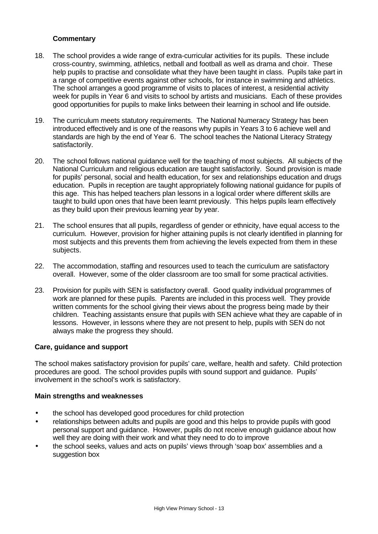## **Commentary**

- 18. The school provides a wide range of extra-curricular activities for its pupils. These include cross-country, swimming, athletics, netball and football as well as drama and choir. These help pupils to practise and consolidate what they have been taught in class. Pupils take part in a range of competitive events against other schools, for instance in swimming and athletics. The school arranges a good programme of visits to places of interest, a residential activity week for pupils in Year 6 and visits to school by artists and musicians. Each of these provides good opportunities for pupils to make links between their learning in school and life outside.
- 19. The curriculum meets statutory requirements. The National Numeracy Strategy has been introduced effectively and is one of the reasons why pupils in Years 3 to 6 achieve well and standards are high by the end of Year 6. The school teaches the National Literacy Strategy satisfactorily.
- 20. The school follows national guidance well for the teaching of most subjects. All subjects of the National Curriculum and religious education are taught satisfactorily. Sound provision is made for pupils' personal, social and health education, for sex and relationships education and drugs education. Pupils in reception are taught appropriately following national guidance for pupils of this age. This has helped teachers plan lessons in a logical order where different skills are taught to build upon ones that have been learnt previously. This helps pupils learn effectively as they build upon their previous learning year by year.
- 21. The school ensures that all pupils, regardless of gender or ethnicity, have equal access to the curriculum. However, provision for higher attaining pupils is not clearly identified in planning for most subjects and this prevents them from achieving the levels expected from them in these subjects.
- 22. The accommodation, staffing and resources used to teach the curriculum are satisfactory overall. However, some of the older classroom are too small for some practical activities.
- 23. Provision for pupils with SEN is satisfactory overall. Good quality individual programmes of work are planned for these pupils. Parents are included in this process well. They provide written comments for the school giving their views about the progress being made by their children. Teaching assistants ensure that pupils with SEN achieve what they are capable of in lessons. However, in lessons where they are not present to help, pupils with SEN do not always make the progress they should.

### **Care, guidance and support**

The school makes satisfactory provision for pupils' care, welfare, health and safety. Child protection procedures are good. The school provides pupils with sound support and guidance. Pupils' involvement in the school's work is satisfactory.

### **Main strengths and weaknesses**

- the school has developed good procedures for child protection
- relationships between adults and pupils are good and this helps to provide pupils with good personal support and guidance. However, pupils do not receive enough guidance about how well they are doing with their work and what they need to do to improve
- the school seeks, values and acts on pupils' views through 'soap box' assemblies and a suggestion box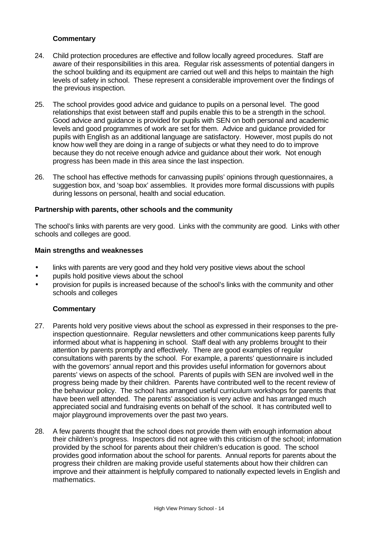## **Commentary**

- 24. Child protection procedures are effective and follow locally agreed procedures. Staff are aware of their responsibilities in this area. Regular risk assessments of potential dangers in the school building and its equipment are carried out well and this helps to maintain the high levels of safety in school. These represent a considerable improvement over the findings of the previous inspection.
- 25. The school provides good advice and guidance to pupils on a personal level. The good relationships that exist between staff and pupils enable this to be a strength in the school. Good advice and guidance is provided for pupils with SEN on both personal and academic levels and good programmes of work are set for them. Advice and guidance provided for pupils with English as an additional language are satisfactory. However, most pupils do not know how well they are doing in a range of subjects or what they need to do to improve because they do not receive enough advice and guidance about their work. Not enough progress has been made in this area since the last inspection.
- 26. The school has effective methods for canvassing pupils' opinions through questionnaires, a suggestion box, and 'soap box' assemblies. It provides more formal discussions with pupils during lessons on personal, health and social education.

### **Partnership with parents, other schools and the community**

The school's links with parents are very good. Links with the community are good. Links with other schools and colleges are good.

#### **Main strengths and weaknesses**

- links with parents are very good and they hold very positive views about the school
- pupils hold positive views about the school
- provision for pupils is increased because of the school's links with the community and other schools and colleges

- 27. Parents hold very positive views about the school as expressed in their responses to the preinspection questionnaire. Regular newsletters and other communications keep parents fully informed about what is happening in school. Staff deal with any problems brought to their attention by parents promptly and effectively. There are good examples of regular consultations with parents by the school. For example, a parents' questionnaire is included with the governors' annual report and this provides useful information for governors about parents' views on aspects of the school. Parents of pupils with SEN are involved well in the progress being made by their children. Parents have contributed well to the recent review of the behaviour policy. The school has arranged useful curriculum workshops for parents that have been well attended. The parents' association is very active and has arranged much appreciated social and fundraising events on behalf of the school. It has contributed well to major playground improvements over the past two years.
- 28. A few parents thought that the school does not provide them with enough information about their children's progress. Inspectors did not agree with this criticism of the school; information provided by the school for parents about their children's education is good. The school provides good information about the school for parents. Annual reports for parents about the progress their children are making provide useful statements about how their children can improve and their attainment is helpfully compared to nationally expected levels in English and mathematics.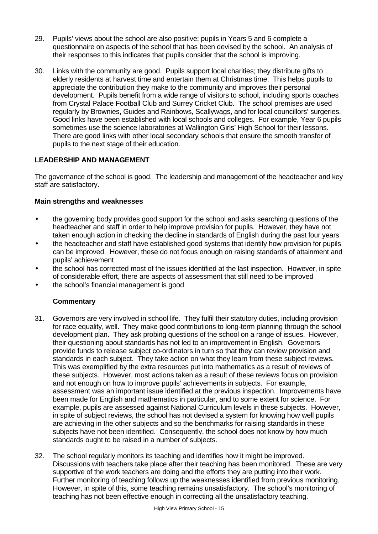- 29. Pupils' views about the school are also positive; pupils in Years 5 and 6 complete a questionnaire on aspects of the school that has been devised by the school. An analysis of their responses to this indicates that pupils consider that the school is improving.
- 30. Links with the community are good. Pupils support local charities; they distribute gifts to elderly residents at harvest time and entertain them at Christmas time. This helps pupils to appreciate the contribution they make to the community and improves their personal development. Pupils benefit from a wide range of visitors to school, including sports coaches from Crystal Palace Football Club and Surrey Cricket Club. The school premises are used regularly by Brownies, Guides and Rainbows, Scallywags, and for local councillors' surgeries. Good links have been established with local schools and colleges. For example, Year 6 pupils sometimes use the science laboratories at Wallington Girls' High School for their lessons. There are good links with other local secondary schools that ensure the smooth transfer of pupils to the next stage of their education.

# **LEADERSHIP AND MANAGEMENT**

The governance of the school is good. The leadership and management of the headteacher and key staff are satisfactory.

#### **Main strengths and weaknesses**

- the governing body provides good support for the school and asks searching questions of the headteacher and staff in order to help improve provision for pupils. However, they have not taken enough action in checking the decline in standards of English during the past four years
- the headteacher and staff have established good systems that identify how provision for pupils can be improved. However, these do not focus enough on raising standards of attainment and pupils' achievement
- the school has corrected most of the issues identified at the last inspection. However, in spite of considerable effort, there are aspects of assessment that still need to be improved
- the school's financial management is good

- 31. Governors are very involved in school life. They fulfil their statutory duties, including provision for race equality, well. They make good contributions to long-term planning through the school development plan. They ask probing questions of the school on a range of issues. However, their questioning about standards has not led to an improvement in English. Governors provide funds to release subject co-ordinators in turn so that they can review provision and standards in each subject. They take action on what they learn from these subject reviews. This was exemplified by the extra resources put into mathematics as a result of reviews of these subjects. However, most actions taken as a result of these reviews focus on provision and not enough on how to improve pupils' achievements in subjects. For example, assessment was an important issue identified at the previous inspection. Improvements have been made for English and mathematics in particular, and to some extent for science. For example, pupils are assessed against National Curriculum levels in these subjects. However, in spite of subject reviews, the school has not devised a system for knowing how well pupils are achieving in the other subjects and so the benchmarks for raising standards in these subjects have not been identified. Consequently, the school does not know by how much standards ought to be raised in a number of subjects.
- 32. The school regularly monitors its teaching and identifies how it might be improved. Discussions with teachers take place after their teaching has been monitored. These are very supportive of the work teachers are doing and the efforts they are putting into their work. Further monitoring of teaching follows up the weaknesses identified from previous monitoring. However, in spite of this, some teaching remains unsatisfactory. The school's monitoring of teaching has not been effective enough in correcting all the unsatisfactory teaching.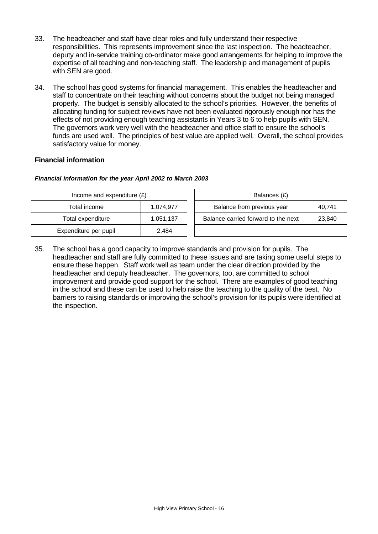- 33. The headteacher and staff have clear roles and fully understand their respective responsibilities. This represents improvement since the last inspection. The headteacher, deputy and in-service training co-ordinator make good arrangements for helping to improve the expertise of all teaching and non-teaching staff. The leadership and management of pupils with SEN are good.
- 34. The school has good systems for financial management. This enables the headteacher and staff to concentrate on their teaching without concerns about the budget not being managed properly. The budget is sensibly allocated to the school's priorities. However, the benefits of allocating funding for subject reviews have not been evaluated rigorously enough nor has the effects of not providing enough teaching assistants in Years 3 to 6 to help pupils with SEN. The governors work very well with the headteacher and office staff to ensure the school's funds are used well. The principles of best value are applied well. Overall, the school provides satisfactory value for money.

## **Financial information**

#### *Financial information for the year April 2002 to March 2003*

| Income and expenditure $(E)$ |           | Balances (£)                        |        |
|------------------------------|-----------|-------------------------------------|--------|
| Total income                 | 1.074.977 | Balance from previous year          | 40,741 |
| Total expenditure            | 1,051,137 | Balance carried forward to the next | 23,840 |
| Expenditure per pupil        | 2.484     |                                     |        |

35. The school has a good capacity to improve standards and provision for pupils. The headteacher and staff are fully committed to these issues and are taking some useful steps to ensure these happen. Staff work well as team under the clear direction provided by the headteacher and deputy headteacher. The governors, too, are committed to school improvement and provide good support for the school. There are examples of good teaching in the school and these can be used to help raise the teaching to the quality of the best. No barriers to raising standards or improving the school's provision for its pupils were identified at the inspection.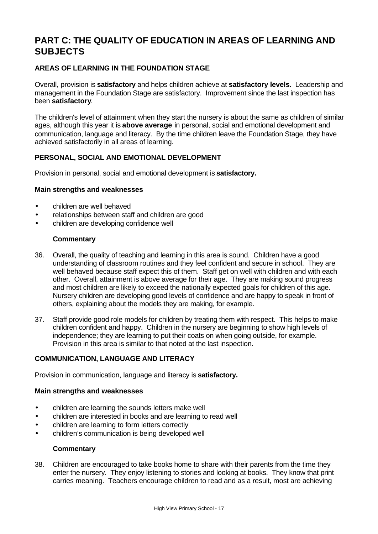# **PART C: THE QUALITY OF EDUCATION IN AREAS OF LEARNING AND SUBJECTS**

# **AREAS OF LEARNING IN THE FOUNDATION STAGE**

Overall, provision is **satisfactory** and helps children achieve at **satisfactory levels.** Leadership and management in the Foundation Stage are satisfactory. Improvement since the last inspection has been **satisfactory**.

The children's level of attainment when they start the nursery is about the same as children of similar ages, although this year it is **above average** in personal, social and emotional development and communication, language and literacy. By the time children leave the Foundation Stage, they have achieved satisfactorily in all areas of learning.

## **PERSONAL, SOCIAL AND EMOTIONAL DEVELOPMENT**

Provision in personal, social and emotional development is **satisfactory.**

#### **Main strengths and weaknesses**

- children are well behaved
- relationships between staff and children are good
- children are developing confidence well

#### **Commentary**

- 36. Overall, the quality of teaching and learning in this area is sound. Children have a good understanding of classroom routines and they feel confident and secure in school. They are well behaved because staff expect this of them. Staff get on well with children and with each other. Overall, attainment is above average for their age. They are making sound progress and most children are likely to exceed the nationally expected goals for children of this age. Nursery children are developing good levels of confidence and are happy to speak in front of others, explaining about the models they are making, for example.
- 37. Staff provide good role models for children by treating them with respect. This helps to make children confident and happy. Children in the nursery are beginning to show high levels of independence; they are learning to put their coats on when going outside, for example. Provision in this area is similar to that noted at the last inspection.

## **COMMUNICATION, LANGUAGE AND LITERACY**

Provision in communication, language and literacy is **satisfactory.**

#### **Main strengths and weaknesses**

- children are learning the sounds letters make well
- children are interested in books and are learning to read well
- children are learning to form letters correctly
- children's communication is being developed well

#### **Commentary**

38. Children are encouraged to take books home to share with their parents from the time they enter the nursery. They enjoy listening to stories and looking at books. They know that print carries meaning. Teachers encourage children to read and as a result, most are achieving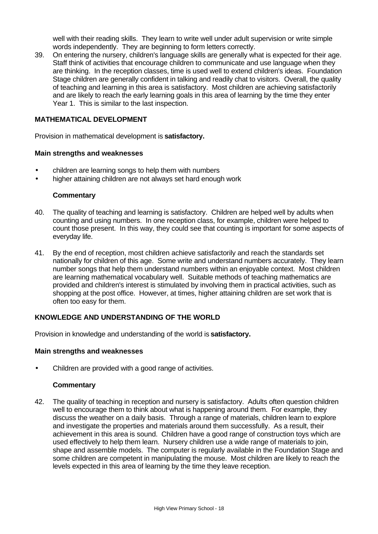well with their reading skills. They learn to write well under adult supervision or write simple words independently. They are beginning to form letters correctly.

39. On entering the nursery, children's language skills are generally what is expected for their age. Staff think of activities that encourage children to communicate and use language when they are thinking. In the reception classes, time is used well to extend children's ideas. Foundation Stage children are generally confident in talking and readily chat to visitors. Overall, the quality of teaching and learning in this area is satisfactory. Most children are achieving satisfactorily and are likely to reach the early learning goals in this area of learning by the time they enter Year 1. This is similar to the last inspection.

## **MATHEMATICAL DEVELOPMENT**

Provision in mathematical development is **satisfactory.**

#### **Main strengths and weaknesses**

- children are learning songs to help them with numbers
- higher attaining children are not always set hard enough work

#### **Commentary**

- 40. The quality of teaching and learning is satisfactory. Children are helped well by adults when counting and using numbers. In one reception class, for example, children were helped to count those present. In this way, they could see that counting is important for some aspects of everyday life.
- 41. By the end of reception, most children achieve satisfactorily and reach the standards set nationally for children of this age. Some write and understand numbers accurately. They learn number songs that help them understand numbers within an enjoyable context. Most children are learning mathematical vocabulary well. Suitable methods of teaching mathematics are provided and children's interest is stimulated by involving them in practical activities, such as shopping at the post office. However, at times, higher attaining children are set work that is often too easy for them.

### **KNOWLEDGE AND UNDERSTANDING OF THE WORLD**

Provision in knowledge and understanding of the world is **satisfactory.**

#### **Main strengths and weaknesses**

• Children are provided with a good range of activities.

#### **Commentary**

42. The quality of teaching in reception and nursery is satisfactory. Adults often question children well to encourage them to think about what is happening around them. For example, they discuss the weather on a daily basis. Through a range of materials, children learn to explore and investigate the properties and materials around them successfully. As a result, their achievement in this area is sound. Children have a good range of construction toys which are used effectively to help them learn. Nursery children use a wide range of materials to join, shape and assemble models. The computer is regularly available in the Foundation Stage and some children are competent in manipulating the mouse. Most children are likely to reach the levels expected in this area of learning by the time they leave reception.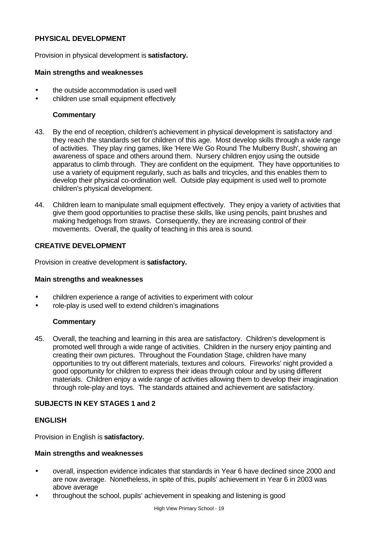## **PHYSICAL DEVELOPMENT**

Provision in physical development is **satisfactory.**

#### **Main strengths and weaknesses**

- the outside accommodation is used well
- children use small equipment effectively

## **Commentary**

- 43. By the end of reception, children's achievement in physical development is satisfactory and they reach the standards set for children of this age. Most develop skills through a wide range of activities. They play ring games, like 'Here We Go Round The Mulberry Bush', showing an awareness of space and others around them. Nursery children enjoy using the outside apparatus to climb through. They are confident on the equipment. They have opportunities to use a variety of equipment regularly, such as balls and tricycles, and this enables them to develop their physical co-ordination well. Outside play equipment is used well to promote children's physical development.
- 44. Children learn to manipulate small equipment effectively. They enjoy a variety of activities that give them good opportunities to practise these skills, like using pencils, paint brushes and making hedgehogs from straws. Consequently, they are increasing control of their movements. Overall, the quality of teaching in this area is sound.

## **CREATIVE DEVELOPMENT**

Provision in creative development is **satisfactory.**

### **Main strengths and weaknesses**

- children experience a range of activities to experiment with colour
- role-play is used well to extend children's imaginations

### **Commentary**

45. Overall, the teaching and learning in this area are satisfactory. Children's development is promoted well through a wide range of activities. Children in the nursery enjoy painting and creating their own pictures. Throughout the Foundation Stage, children have many opportunities to try out different materials, textures and colours. Fireworks' night provided a good opportunity for children to express their ideas through colour and by using different materials. Children enjoy a wide range of activities allowing them to develop their imagination through role-play and toys. The standards attained and achievement are satisfactory.

### **SUBJECTS IN KEY STAGES 1 and 2**

### **ENGLISH**

Provision in English is **satisfactory.**

### **Main strengths and weaknesses**

- overall, inspection evidence indicates that standards in Year 6 have declined since 2000 and are now average. Nonetheless, in spite of this, pupils' achievement in Year 6 in 2003 was above average
- throughout the school, pupils' achievement in speaking and listening is good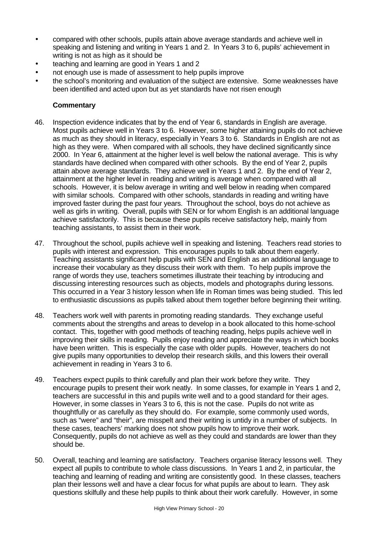- compared with other schools, pupils attain above average standards and achieve well in speaking and listening and writing in Years 1 and 2. In Years 3 to 6, pupils' achievement in writing is not as high as it should be
- teaching and learning are good in Years 1 and 2
- not enough use is made of assessment to help pupils improve
- the school's monitoring and evaluation of the subject are extensive. Some weaknesses have been identified and acted upon but as yet standards have not risen enough

- 46. Inspection evidence indicates that by the end of Year 6, standards in English are average. Most pupils achieve well in Years 3 to 6. However, some higher attaining pupils do not achieve as much as they should in literacy, especially in Years 3 to 6. Standards in English are not as high as they were. When compared with all schools, they have declined significantly since 2000. In Year 6, attainment at the higher level is well below the national average. This is why standards have declined when compared with other schools. By the end of Year 2, pupils attain above average standards. They achieve well in Years 1 and 2. By the end of Year 2, attainment at the higher level in reading and writing is average when compared with all schools. However, it is below average in writing and well below in reading when compared with similar schools. Compared with other schools, standards in reading and writing have improved faster during the past four years. Throughout the school, boys do not achieve as well as girls in writing. Overall, pupils with SEN or for whom English is an additional language achieve satisfactorily. This is because these pupils receive satisfactory help, mainly from teaching assistants, to assist them in their work.
- 47. Throughout the school, pupils achieve well in speaking and listening. Teachers read stories to pupils with interest and expression. This encourages pupils to talk about them eagerly. Teaching assistants significant help pupils with SEN and English as an additional language to increase their vocabulary as they discuss their work with them. To help pupils improve the range of words they use, teachers sometimes illustrate their teaching by introducing and discussing interesting resources such as objects, models and photographs during lessons. This occurred in a Year 3 history lesson when life in Roman times was being studied. This led to enthusiastic discussions as pupils talked about them together before beginning their writing.
- 48. Teachers work well with parents in promoting reading standards. They exchange useful comments about the strengths and areas to develop in a book allocated to this home-school contact. This, together with good methods of teaching reading, helps pupils achieve well in improving their skills in reading. Pupils enjoy reading and appreciate the ways in which books have been written. This is especially the case with older pupils. However, teachers do not give pupils many opportunities to develop their research skills, and this lowers their overall achievement in reading in Years 3 to 6.
- 49. Teachers expect pupils to think carefully and plan their work before they write. They encourage pupils to present their work neatly. In some classes, for example in Years 1 and 2, teachers are successful in this and pupils write well and to a good standard for their ages. However, in some classes in Years 3 to 6, this is not the case. Pupils do not write as thoughtfully or as carefully as they should do. For example, some commonly used words, such as "were" and "their", are misspelt and their writing is untidy in a number of subjects. In these cases, teachers' marking does not show pupils how to improve their work. Consequently, pupils do not achieve as well as they could and standards are lower than they should be.
- 50. Overall, teaching and learning are satisfactory. Teachers organise literacy lessons well. They expect all pupils to contribute to whole class discussions. In Years 1 and 2, in particular, the teaching and learning of reading and writing are consistently good. In these classes, teachers plan their lessons well and have a clear focus for what pupils are about to learn. They ask questions skilfully and these help pupils to think about their work carefully. However, in some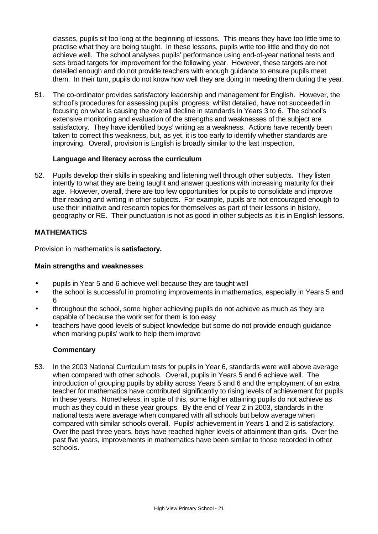classes, pupils sit too long at the beginning of lessons. This means they have too little time to practise what they are being taught. In these lessons, pupils write too little and they do not achieve well. The school analyses pupils' performance using end-of-year national tests and sets broad targets for improvement for the following year. However, these targets are not detailed enough and do not provide teachers with enough guidance to ensure pupils meet them. In their turn, pupils do not know how well they are doing in meeting them during the year.

51. The co-ordinator provides satisfactory leadership and management for English. However, the school's procedures for assessing pupils' progress, whilst detailed, have not succeeded in focusing on what is causing the overall decline in standards in Years 3 to 6. The school's extensive monitoring and evaluation of the strengths and weaknesses of the subject are satisfactory. They have identified boys' writing as a weakness. Actions have recently been taken to correct this weakness, but, as yet, it is too early to identify whether standards are improving. Overall, provision is English is broadly similar to the last inspection.

#### **Language and literacy across the curriculum**

52. Pupils develop their skills in speaking and listening well through other subjects. They listen intently to what they are being taught and answer questions with increasing maturity for their age. However, overall, there are too few opportunities for pupils to consolidate and improve their reading and writing in other subjects. For example, pupils are not encouraged enough to use their initiative and research topics for themselves as part of their lessons in history, geography or RE. Their punctuation is not as good in other subjects as it is in English lessons.

## **MATHEMATICS**

Provision in mathematics is **satisfactory.**

### **Main strengths and weaknesses**

- pupils in Year 5 and 6 achieve well because they are taught well
- the school is successful in promoting improvements in mathematics, especially in Years 5 and 6
- throughout the school, some higher achieving pupils do not achieve as much as they are capable of because the work set for them is too easy
- teachers have good levels of subject knowledge but some do not provide enough guidance when marking pupils' work to help them improve

### **Commentary**

53. In the 2003 National Curriculum tests for pupils in Year 6, standards were well above average when compared with other schools. Overall, pupils in Years 5 and 6 achieve well. The introduction of grouping pupils by ability across Years 5 and 6 and the employment of an extra teacher for mathematics have contributed significantly to rising levels of achievement for pupils in these years. Nonetheless, in spite of this, some higher attaining pupils do not achieve as much as they could in these year groups. By the end of Year 2 in 2003, standards in the national tests were average when compared with all schools but below average when compared with similar schools overall. Pupils' achievement in Years 1 and 2 is satisfactory. Over the past three years, boys have reached higher levels of attainment than girls. Over the past five years, improvements in mathematics have been similar to those recorded in other schools.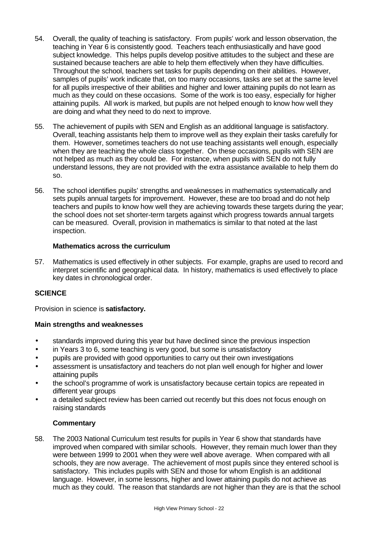- 54. Overall, the quality of teaching is satisfactory. From pupils' work and lesson observation, the teaching in Year 6 is consistently good. Teachers teach enthusiastically and have good subject knowledge. This helps pupils develop positive attitudes to the subject and these are sustained because teachers are able to help them effectively when they have difficulties. Throughout the school, teachers set tasks for pupils depending on their abilities. However, samples of pupils' work indicate that, on too many occasions, tasks are set at the same level for all pupils irrespective of their abilities and higher and lower attaining pupils do not learn as much as they could on these occasions. Some of the work is too easy, especially for higher attaining pupils. All work is marked, but pupils are not helped enough to know how well they are doing and what they need to do next to improve.
- 55. The achievement of pupils with SEN and English as an additional language is satisfactory. Overall, teaching assistants help them to improve well as they explain their tasks carefully for them. However, sometimes teachers do not use teaching assistants well enough, especially when they are teaching the whole class together. On these occasions, pupils with SEN are not helped as much as they could be. For instance, when pupils with SEN do not fully understand lessons, they are not provided with the extra assistance available to help them do so.
- 56. The school identifies pupils' strengths and weaknesses in mathematics systematically and sets pupils annual targets for improvement. However, these are too broad and do not help teachers and pupils to know how well they are achieving towards these targets during the year; the school does not set shorter-term targets against which progress towards annual targets can be measured. Overall, provision in mathematics is similar to that noted at the last inspection.

## **Mathematics across the curriculum**

57. Mathematics is used effectively in other subjects. For example, graphs are used to record and interpret scientific and geographical data. In history, mathematics is used effectively to place key dates in chronological order.

# **SCIENCE**

Provision in science is **satisfactory.**

# **Main strengths and weaknesses**

- standards improved during this year but have declined since the previous inspection
- in Years 3 to 6, some teaching is very good, but some is unsatisfactory
- pupils are provided with good opportunities to carry out their own investigations
- assessment is unsatisfactory and teachers do not plan well enough for higher and lower attaining pupils
- the school's programme of work is unsatisfactory because certain topics are repeated in different year groups
- a detailed subject review has been carried out recently but this does not focus enough on raising standards

### **Commentary**

58. The 2003 National Curriculum test results for pupils in Year 6 show that standards have improved when compared with similar schools. However, they remain much lower than they were between 1999 to 2001 when they were well above average. When compared with all schools, they are now average. The achievement of most pupils since they entered school is satisfactory. This includes pupils with SEN and those for whom English is an additional language. However, in some lessons, higher and lower attaining pupils do not achieve as much as they could. The reason that standards are not higher than they are is that the school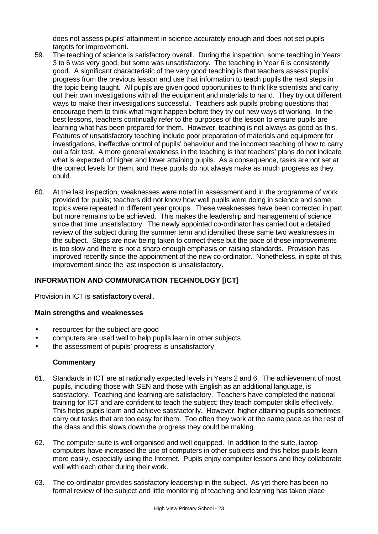does not assess pupils' attainment in science accurately enough and does not set pupils targets for improvement.

- 59. The teaching of science is satisfactory overall. During the inspection, some teaching in Years 3 to 6 was very good, but some was unsatisfactory. The teaching in Year 6 is consistently good. A significant characteristic of the very good teaching is that teachers assess pupils' progress from the previous lesson and use that information to teach pupils the next steps in the topic being taught. All pupils are given good opportunities to think like scientists and carry out their own investigations with all the equipment and materials to hand. They try out different ways to make their investigations successful. Teachers ask pupils probing questions that encourage them to think what might happen before they try out new ways of working. In the best lessons, teachers continually refer to the purposes of the lesson to ensure pupils are learning what has been prepared for them. However, teaching is not always as good as this. Features of unsatisfactory teaching include poor preparation of materials and equipment for investigations, ineffective control of pupils' behaviour and the incorrect teaching of how to carry out a fair test. A more general weakness in the teaching is that teachers' plans do not indicate what is expected of higher and lower attaining pupils. As a consequence, tasks are not set at the correct levels for them, and these pupils do not always make as much progress as they could.
- 60. At the last inspection, weaknesses were noted in assessment and in the programme of work provided for pupils; teachers did not know how well pupils were doing in science and some topics were repeated in different year groups. These weaknesses have been corrected in part but more remains to be achieved. This makes the leadership and management of science since that time unsatisfactory. The newly appointed co-ordinator has carried out a detailed review of the subject during the summer term and identified these same two weaknesses in the subject. Steps are now being taken to correct these but the pace of these improvements is too slow and there is not a sharp enough emphasis on raising standards. Provision has improved recently since the appointment of the new co-ordinator. Nonetheless, in spite of this, improvement since the last inspection is unsatisfactory.

# **INFORMATION AND COMMUNICATION TECHNOLOGY [ICT]**

Provision in ICT is **satisfactory** overall.

#### **Main strengths and weaknesses**

- resources for the subject are good
- computers are used well to help pupils learn in other subjects
- the assessment of pupils' progress is unsatisfactory

- 61. Standards in ICT are at nationally expected levels in Years 2 and 6. The achievement of most pupils, including those with SEN and those with English as an additional language, is satisfactory. Teaching and learning are satisfactory. Teachers have completed the national training for ICT and are confident to teach the subject; they teach computer skills effectively. This helps pupils learn and achieve satisfactorily. However, higher attaining pupils sometimes carry out tasks that are too easy for them. Too often they work at the same pace as the rest of the class and this slows down the progress they could be making.
- 62. The computer suite is well organised and well equipped. In addition to the suite, laptop computers have increased the use of computers in other subjects and this helps pupils learn more easily, especially using the Internet. Pupils enjoy computer lessons and they collaborate well with each other during their work.
- 63. The co-ordinator provides satisfactory leadership in the subject. As yet there has been no formal review of the subject and little monitoring of teaching and learning has taken place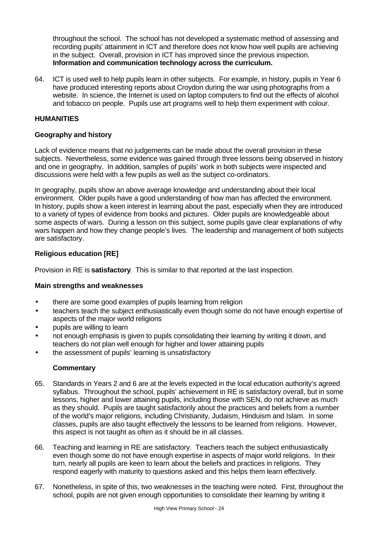throughout the school. The school has not developed a systematic method of assessing and recording pupils' attainment in ICT and therefore does not know how well pupils are achieving in the subject. Overall, provision in ICT has improved since the previous inspection. **Information and communication technology across the curriculum.**

64. ICT is used well to help pupils learn in other subjects. For example, in history, pupils in Year 6 have produced interesting reports about Croydon during the war using photographs from a website. In science, the Internet is used on laptop computers to find out the effects of alcohol and tobacco on people. Pupils use art programs well to help them experiment with colour.

## **HUMANITIES**

### **Geography and history**

Lack of evidence means that no judgements can be made about the overall provision in these subjects. Nevertheless, some evidence was gained through three lessons being observed in history and one in geography. In addition, samples of pupils' work in both subjects were inspected and discussions were held with a few pupils as well as the subject co-ordinators.

In geography, pupils show an above average knowledge and understanding about their local environment. Older pupils have a good understanding of how man has affected the environment. In history, pupils show a keen interest in learning about the past, especially when they are introduced to a variety of types of evidence from books and pictures. Older pupils are knowledgeable about some aspects of wars. During a lesson on this subject, some pupils gave clear explanations of why wars happen and how they change people's lives. The leadership and management of both subjects are satisfactory.

## **Religious education [RE]**

Provision in RE is **satisfactory**. This is similar to that reported at the last inspection.

### **Main strengths and weaknesses**

- there are some good examples of pupils learning from religion
- teachers teach the subject enthusiastically even though some do not have enough expertise of aspects of the major world religions
- pupils are willing to learn
- not enough emphasis is given to pupils consolidating their learning by writing it down, and teachers do not plan well enough for higher and lower attaining pupils
- the assessment of pupils' learning is unsatisfactory

- 65. Standards in Years 2 and 6 are at the levels expected in the local education authority's agreed syllabus. Throughout the school, pupils' achievement in RE is satisfactory overall, but in some lessons, higher and lower attaining pupils, including those with SEN, do not achieve as much as they should. Pupils are taught satisfactorily about the practices and beliefs from a number of the world's major religions, including Christianity, Judaism, Hinduism and Islam. In some classes, pupils are also taught effectively the lessons to be learned from religions. However, this aspect is not taught as often as it should be in all classes.
- 66. Teaching and learning in RE are satisfactory. Teachers teach the subject enthusiastically even though some do not have enough expertise in aspects of major world religions. In their turn, nearly all pupils are keen to learn about the beliefs and practices in religions. They respond eagerly with maturity to questions asked and this helps them learn effectively.
- 67. Nonetheless, in spite of this, two weaknesses in the teaching were noted. First, throughout the school, pupils are not given enough opportunities to consolidate their learning by writing it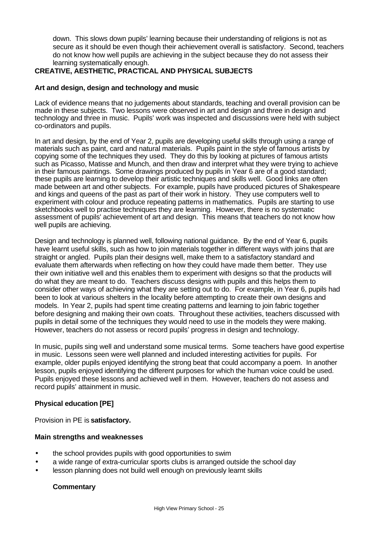down. This slows down pupils' learning because their understanding of religions is not as secure as it should be even though their achievement overall is satisfactory. Second, teachers do not know how well pupils are achieving in the subject because they do not assess their learning systematically enough.

## **CREATIVE, AESTHETIC, PRACTICAL AND PHYSICAL SUBJECTS**

### **Art and design, design and technology and music**

Lack of evidence means that no judgements about standards, teaching and overall provision can be made in these subjects. Two lessons were observed in art and design and three in design and technology and three in music. Pupils' work was inspected and discussions were held with subject co-ordinators and pupils.

In art and design, by the end of Year 2, pupils are developing useful skills through using a range of materials such as paint, card and natural materials. Pupils paint in the style of famous artists by copying some of the techniques they used. They do this by looking at pictures of famous artists such as Picasso, Matisse and Munch, and then draw and interpret what they were trying to achieve in their famous paintings. Some drawings produced by pupils in Year 6 are of a good standard; these pupils are learning to develop their artistic techniques and skills well. Good links are often made between art and other subjects. For example, pupils have produced pictures of Shakespeare and kings and queens of the past as part of their work in history. They use computers well to experiment with colour and produce repeating patterns in mathematics. Pupils are starting to use sketchbooks well to practise techniques they are learning. However, there is no systematic assessment of pupils' achievement of art and design. This means that teachers do not know how well pupils are achieving.

Design and technology is planned well, following national guidance. By the end of Year 6, pupils have learnt useful skills, such as how to join materials together in different ways with joins that are straight or angled. Pupils plan their designs well, make them to a satisfactory standard and evaluate them afterwards when reflecting on how they could have made them better. They use their own initiative well and this enables them to experiment with designs so that the products will do what they are meant to do. Teachers discuss designs with pupils and this helps them to consider other ways of achieving what they are setting out to do. For example, in Year 6, pupils had been to look at various shelters in the locality before attempting to create their own designs and models. In Year 2, pupils had spent time creating patterns and learning to join fabric together before designing and making their own coats. Throughout these activities, teachers discussed with pupils in detail some of the techniques they would need to use in the models they were making. However, teachers do not assess or record pupils' progress in design and technology.

In music, pupils sing well and understand some musical terms. Some teachers have good expertise in music. Lessons seen were well planned and included interesting activities for pupils. For example, older pupils enjoyed identifying the strong beat that could accompany a poem. In another lesson, pupils enjoyed identifying the different purposes for which the human voice could be used. Pupils enjoyed these lessons and achieved well in them. However, teachers do not assess and record pupils' attainment in music.

### **Physical education [PE]**

Provision in PE is **satisfactory.**

### **Main strengths and weaknesses**

- the school provides pupils with good opportunities to swim
- a wide range of extra-curricular sports clubs is arranged outside the school day
- lesson planning does not build well enough on previously learnt skills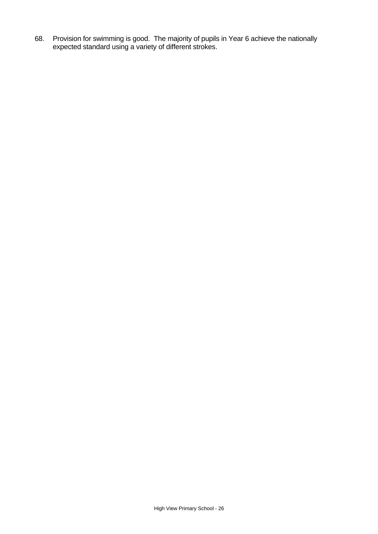68. Provision for swimming is good. The majority of pupils in Year 6 achieve the nationally expected standard using a variety of different strokes.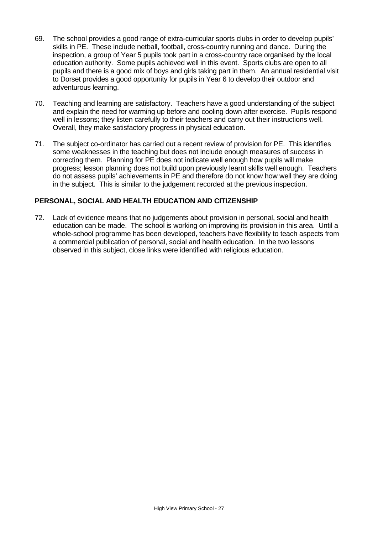- 69. The school provides a good range of extra-curricular sports clubs in order to develop pupils' skills in PE. These include netball, football, cross-country running and dance. During the inspection, a group of Year 5 pupils took part in a cross-country race organised by the local education authority. Some pupils achieved well in this event. Sports clubs are open to all pupils and there is a good mix of boys and girls taking part in them. An annual residential visit to Dorset provides a good opportunity for pupils in Year 6 to develop their outdoor and adventurous learning.
- 70. Teaching and learning are satisfactory. Teachers have a good understanding of the subject and explain the need for warming up before and cooling down after exercise. Pupils respond well in lessons; they listen carefully to their teachers and carry out their instructions well. Overall, they make satisfactory progress in physical education.
- 71. The subject co-ordinator has carried out a recent review of provision for PE. This identifies some weaknesses in the teaching but does not include enough measures of success in correcting them. Planning for PE does not indicate well enough how pupils will make progress; lesson planning does not build upon previously learnt skills well enough. Teachers do not assess pupils' achievements in PE and therefore do not know how well they are doing in the subject. This is similar to the judgement recorded at the previous inspection.

# **PERSONAL, SOCIAL AND HEALTH EDUCATION AND CITIZENSHIP**

72. Lack of evidence means that no judgements about provision in personal, social and health education can be made. The school is working on improving its provision in this area. Until a whole-school programme has been developed, teachers have flexibility to teach aspects from a commercial publication of personal, social and health education. In the two lessons observed in this subject, close links were identified with religious education.